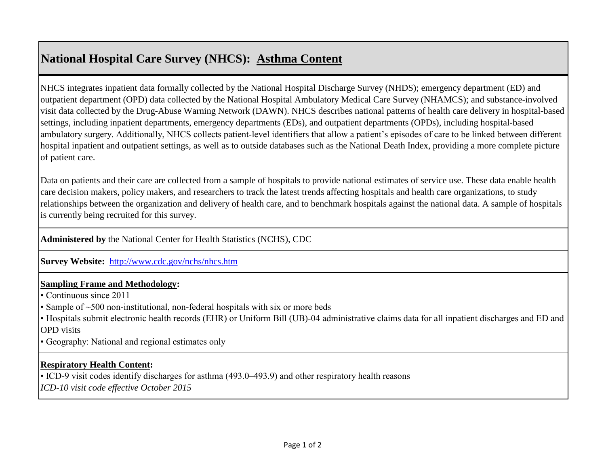# **National Hospital Care Survey (NHCS): Asthma Content**

NHCS integrates inpatient data formally collected by the National Hospital Discharge Survey (NHDS); emergency department (ED) and outpatient department (OPD) data collected by the National Hospital Ambulatory Medical Care Survey (NHAMCS); and substance-involved visit data collected by the Drug-Abuse Warning Network (DAWN). NHCS describes national patterns of health care delivery in hospital-based settings, including inpatient departments, emergency departments (EDs), and outpatient departments (OPDs), including hospital-based ambulatory surgery. Additionally, NHCS collects patient-level identifiers that allow a patient's episodes of care to be linked between different hospital inpatient and outpatient settings, as well as to outside databases such as the National Death Index, providing a more complete picture of patient care.

Data on patients and their care are collected from a sample of hospitals to provide national estimates of service use. These data enable health care decision makers, policy makers, and researchers to track the latest trends affecting hospitals and health care organizations, to study relationships between the organization and delivery of health care, and to benchmark hospitals against the national data. A sample of hospitals is currently being recruited for this survey.

**Administered by** the National Center for Health Statistics (NCHS), CDC

**[Survey Website:](http://www.cdc.gov/nchs/nhcs.htm)** <http://www.cdc.gov/nchs/nhcs.htm>

### **Sampling Frame and Methodology:**

• Continuous since 2011

• Sample of ~500 non-institutional, non-federal hospitals with six or more beds

• Hospitals submit electronic health records (EHR) or Uniform Bill (UB)-04 administrative claims data for all inpatient discharges and ED and OPD visits

• Geography: National and regional estimates only

### **Respiratory Health Content:**

• ICD-9 visit codes identify discharges for asthma (493.0–493.9) and other respiratory health reasons

*ICD-10 visit code effective October 2015*